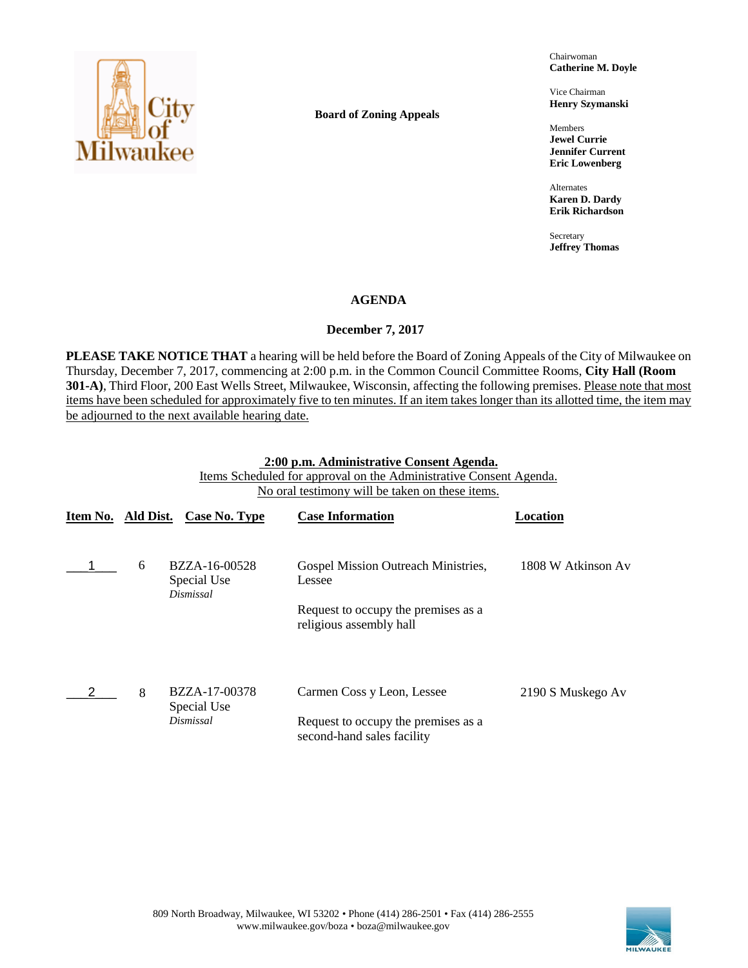

**Board of Zoning Appeals**

Chairwoman **Catherine M. Doyle**

Vice Chairman **Henry Szymanski**

Members **Jewel Currie Jennifer Current Eric Lowenberg**

Alternates **Karen D. Dardy Erik Richardson**

Secretary **Jeffrey Thomas**

## **AGENDA**

## **December 7, 2017**

**PLEASE TAKE NOTICE THAT** a hearing will be held before the Board of Zoning Appeals of the City of Milwaukee on Thursday, December 7, 2017, commencing at 2:00 p.m. in the Common Council Committee Rooms, **City Hall (Room 301-A)**, Third Floor, 200 East Wells Street, Milwaukee, Wisconsin, affecting the following premises. Please note that most items have been scheduled for approximately five to ten minutes. If an item takes longer than its allotted time, the item may be adjourned to the next available hearing date.

#### **2:00 p.m. Administrative Consent Agenda.**

Items Scheduled for approval on the Administrative Consent Agenda. No oral testimony will be taken on these items.

| Item No. Ald Dist. |   | Case No. Type                             | <b>Case Information</b>                                           | Location           |
|--------------------|---|-------------------------------------------|-------------------------------------------------------------------|--------------------|
|                    | 6 | BZZA-16-00528<br>Special Use<br>Dismissal | Gospel Mission Outreach Ministries,<br>Lessee                     | 1808 W Atkinson Av |
|                    |   |                                           | Request to occupy the premises as a<br>religious assembly hall    |                    |
|                    | 8 | BZZA-17-00378<br>Special Use              | Carmen Coss y Leon, Lessee                                        | 2190 S Muskego Av  |
|                    |   | Dismissal                                 | Request to occupy the premises as a<br>second-hand sales facility |                    |

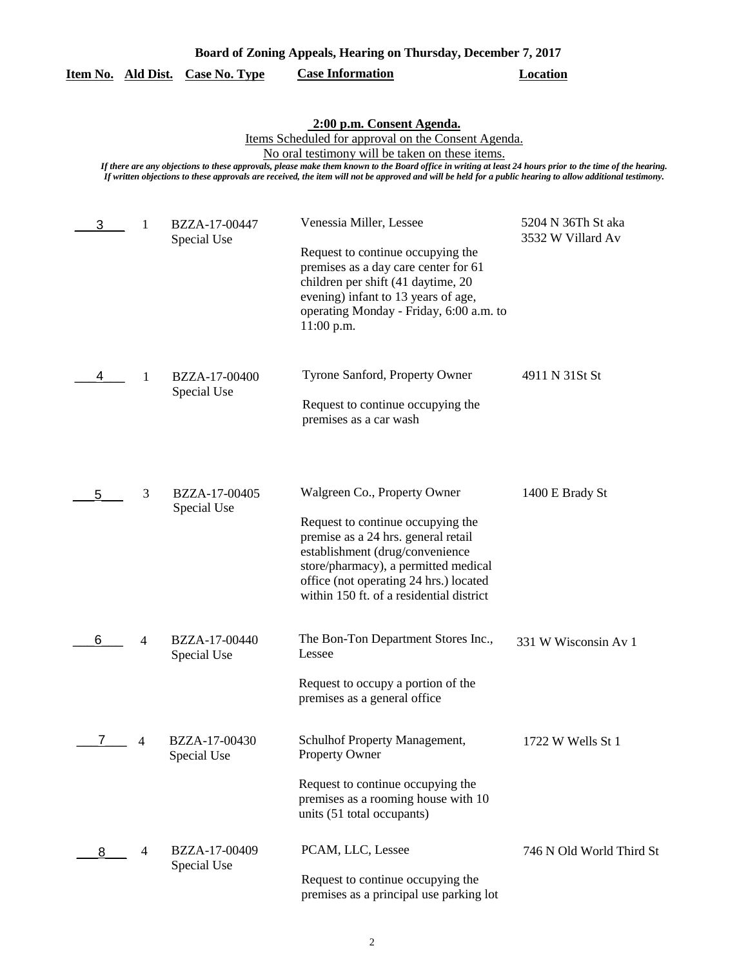| Board of Zoning Appeals, Hearing on Thursday, December 7, 2017 |  |                                  |                         |          |
|----------------------------------------------------------------|--|----------------------------------|-------------------------|----------|
|                                                                |  | Item No. Ald Dist. Case No. Type | <b>Case Information</b> | Location |

**2:00 p.m. Consent Agenda.**

Items Scheduled for approval on the Consent Agenda.

No oral testimony will be taken on these items.

*If there are any objections to these approvals, please make them known to the Board office in writing at least 24 hours prior to the time of the hearing. If written objections to these approvals are received, the item will not be approved and will be held for a public hearing to allow additional testimony.*

| 3 | 1 | BZZA-17-00447                | Venessia Miller, Lessee                                                                                                                                                                                                                   | 5204 N 36Th St aka<br>3532 W Villard Av |
|---|---|------------------------------|-------------------------------------------------------------------------------------------------------------------------------------------------------------------------------------------------------------------------------------------|-----------------------------------------|
|   |   | Special Use                  | Request to continue occupying the<br>premises as a day care center for 61<br>children per shift (41 daytime, 20<br>evening) infant to 13 years of age,<br>operating Monday - Friday, 6:00 a.m. to<br>11:00 p.m.                           |                                         |
| 4 | 1 | BZZA-17-00400<br>Special Use | Tyrone Sanford, Property Owner<br>Request to continue occupying the<br>premises as a car wash                                                                                                                                             | 4911 N 31St St                          |
| 5 | 3 | BZZA-17-00405                | Walgreen Co., Property Owner                                                                                                                                                                                                              | 1400 E Brady St                         |
|   |   | Special Use                  | Request to continue occupying the<br>premise as a 24 hrs. general retail<br>establishment (drug/convenience<br>store/pharmacy), a permitted medical<br>office (not operating 24 hrs.) located<br>within 150 ft. of a residential district |                                         |
| 6 | 4 | BZZA-17-00440<br>Special Use | The Bon-Ton Department Stores Inc.,<br>Lessee                                                                                                                                                                                             | 331 W Wisconsin Av 1                    |
|   |   |                              | Request to occupy a portion of the<br>premises as a general office                                                                                                                                                                        |                                         |
|   | 4 | BZZA-17-00430<br>Special Use | Schulhof Property Management,<br><b>Property Owner</b>                                                                                                                                                                                    | 1722 W Wells St 1                       |
|   |   |                              | Request to continue occupying the<br>premises as a rooming house with 10<br>units (51 total occupants)                                                                                                                                    |                                         |
| 8 | 4 | BZZA-17-00409<br>Special Use | PCAM, LLC, Lessee                                                                                                                                                                                                                         | 746 N Old World Third St                |
|   |   |                              | Request to continue occupying the<br>premises as a principal use parking lot                                                                                                                                                              |                                         |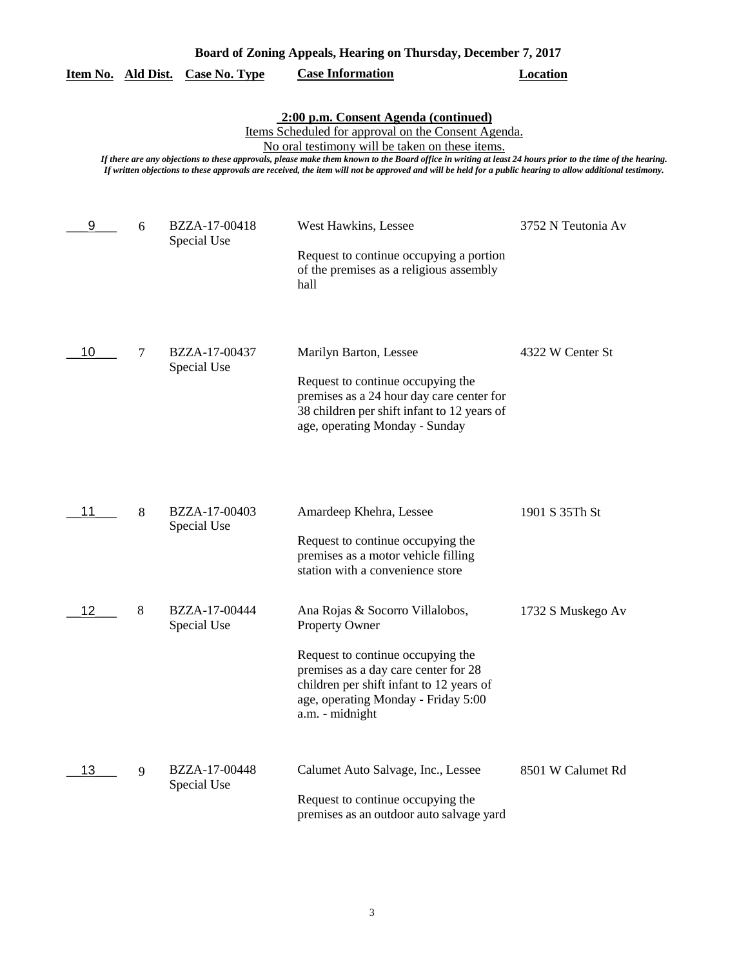|    |   |                              | 2:00 p.m. Consent Agenda (continued)<br>Items Scheduled for approval on the Consent Agenda.                                                                                                                                                                                                                                                                               |                    |
|----|---|------------------------------|---------------------------------------------------------------------------------------------------------------------------------------------------------------------------------------------------------------------------------------------------------------------------------------------------------------------------------------------------------------------------|--------------------|
|    |   |                              | No oral testimony will be taken on these items.<br>If there are any objections to these approvals, please make them known to the Board office in writing at least 24 hours prior to the time of the hearing.<br>If written objections to these approvals are received, the item will not be approved and will be held for a public hearing to allow additional testimony. |                    |
| 9  | 6 | BZZA-17-00418<br>Special Use | West Hawkins, Lessee<br>Request to continue occupying a portion<br>of the premises as a religious assembly<br>hall                                                                                                                                                                                                                                                        | 3752 N Teutonia Av |
| 10 | 7 | BZZA-17-00437<br>Special Use | Marilyn Barton, Lessee<br>Request to continue occupying the<br>premises as a 24 hour day care center for<br>38 children per shift infant to 12 years of<br>age, operating Monday - Sunday                                                                                                                                                                                 | 4322 W Center St   |
| 11 | 8 | BZZA-17-00403<br>Special Use | Amardeep Khehra, Lessee<br>Request to continue occupying the<br>premises as a motor vehicle filling<br>station with a convenience store                                                                                                                                                                                                                                   | 1901 S 35Th St     |
|    | 8 | BZZA-17-00444<br>Special Use | Ana Rojas & Socorro Villalobos,<br><b>Property Owner</b><br>Request to continue occupying the<br>premises as a day care center for 28<br>children per shift infant to 12 years of<br>age, operating Monday - Friday 5:00<br>a.m. - midnight                                                                                                                               | 1732 S Muskego Av  |
| 13 | 9 | BZZA-17-00448<br>Special Use | Calumet Auto Salvage, Inc., Lessee<br>Request to continue occupying the<br>premises as an outdoor auto salvage yard                                                                                                                                                                                                                                                       | 8501 W Calumet Rd  |

# **Board of Zoning Appeals, Hearing on Thursday, December 7, 2017**

**Item No. Ald Dist. Case No. Type Case Information Location**

3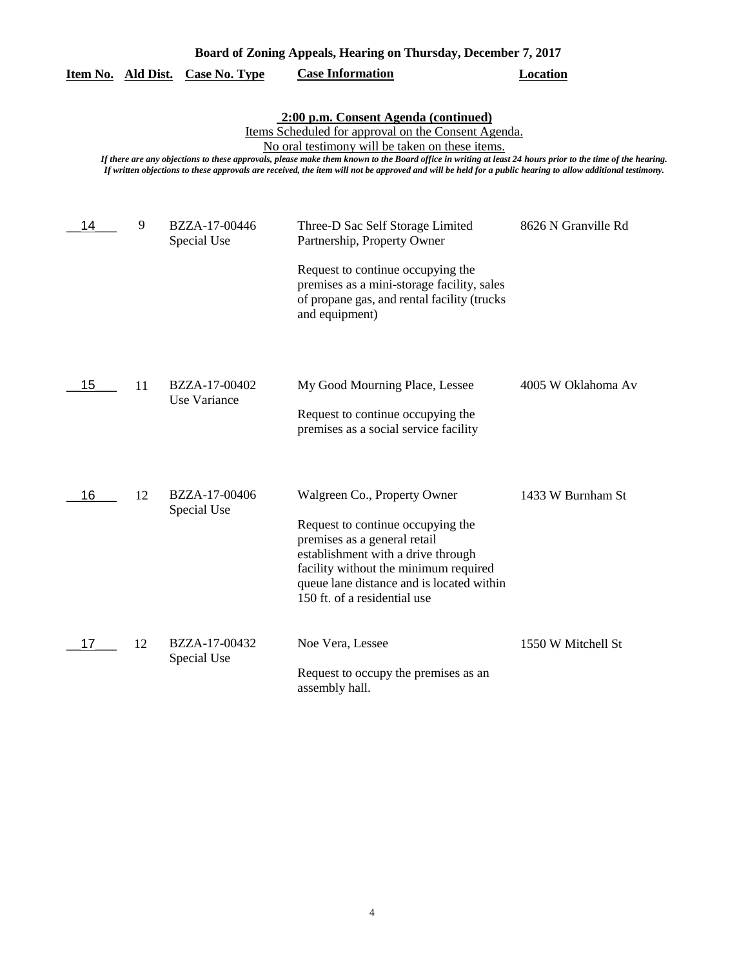| Board of Zoning Appeals, Hearing on Thursday, December 7, 2017 |                                                                                                                                                                                                                                                                                                                                                                                                                                                                          |                               |                                                                                                                                                                                                                                                               |                     |  |  |  |
|----------------------------------------------------------------|--------------------------------------------------------------------------------------------------------------------------------------------------------------------------------------------------------------------------------------------------------------------------------------------------------------------------------------------------------------------------------------------------------------------------------------------------------------------------|-------------------------------|---------------------------------------------------------------------------------------------------------------------------------------------------------------------------------------------------------------------------------------------------------------|---------------------|--|--|--|
| Item No. Ald Dist.                                             |                                                                                                                                                                                                                                                                                                                                                                                                                                                                          | <b>Case No. Type</b>          | <b>Case Information</b>                                                                                                                                                                                                                                       | <b>Location</b>     |  |  |  |
|                                                                | 2:00 p.m. Consent Agenda (continued)<br>Items Scheduled for approval on the Consent Agenda.<br>No oral testimony will be taken on these items.<br>If there are any objections to these approvals, please make them known to the Board office in writing at least 24 hours prior to the time of the hearing.<br>If written objections to these approvals are received, the item will not be approved and will be held for a public hearing to allow additional testimony. |                               |                                                                                                                                                                                                                                                               |                     |  |  |  |
| 14                                                             | 9                                                                                                                                                                                                                                                                                                                                                                                                                                                                        | BZZA-17-00446<br>Special Use  | Three-D Sac Self Storage Limited<br>Partnership, Property Owner<br>Request to continue occupying the                                                                                                                                                          | 8626 N Granville Rd |  |  |  |
|                                                                |                                                                                                                                                                                                                                                                                                                                                                                                                                                                          |                               | premises as a mini-storage facility, sales<br>of propane gas, and rental facility (trucks<br>and equipment)                                                                                                                                                   |                     |  |  |  |
| 15                                                             | 11                                                                                                                                                                                                                                                                                                                                                                                                                                                                       | BZZA-17-00402<br>Use Variance | My Good Mourning Place, Lessee<br>Request to continue occupying the<br>premises as a social service facility                                                                                                                                                  | 4005 W Oklahoma Av  |  |  |  |
| 16                                                             | 12                                                                                                                                                                                                                                                                                                                                                                                                                                                                       | BZZA-17-00406<br>Special Use  | Walgreen Co., Property Owner<br>Request to continue occupying the<br>premises as a general retail<br>establishment with a drive through<br>facility without the minimum required<br>queue lane distance and is located within<br>150 ft. of a residential use | 1433 W Burnham St   |  |  |  |
| 17                                                             | 12                                                                                                                                                                                                                                                                                                                                                                                                                                                                       | BZZA-17-00432<br>Special Use  | Noe Vera, Lessee<br>Request to occupy the premises as an<br>assembly hall.                                                                                                                                                                                    | 1550 W Mitchell St  |  |  |  |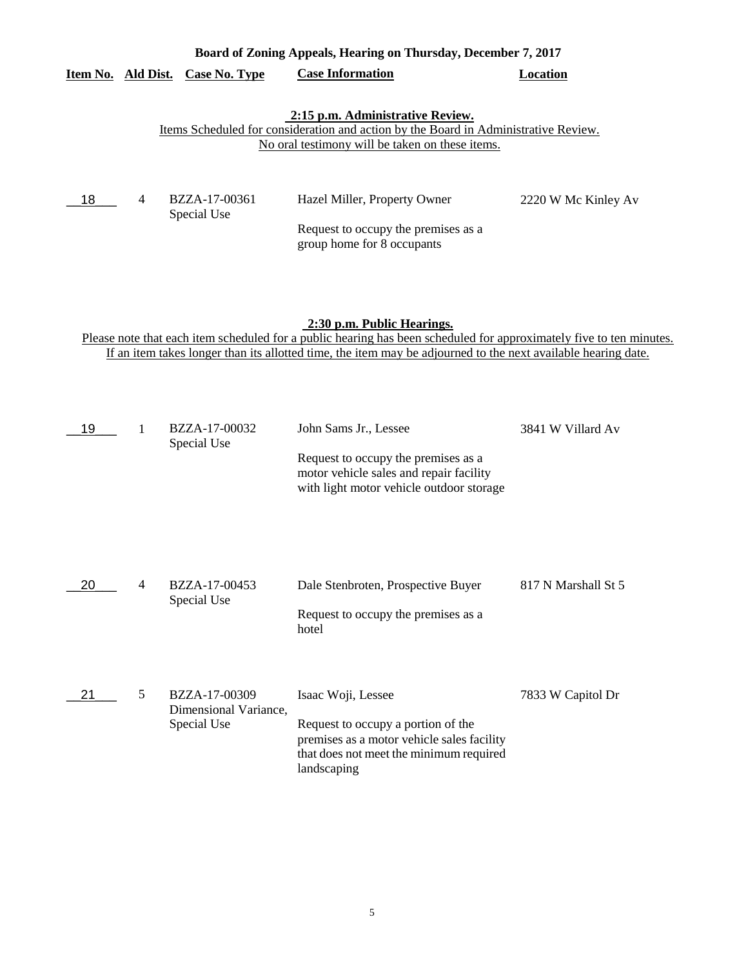| Board of Zoning Appeals, Hearing on Thursday, December 7, 2017 |                |                              |                                                                                                                                                                            |                     |  |
|----------------------------------------------------------------|----------------|------------------------------|----------------------------------------------------------------------------------------------------------------------------------------------------------------------------|---------------------|--|
| Item No. Ald Dist.                                             |                | Case No. Type                | <b>Case Information</b>                                                                                                                                                    | Location            |  |
|                                                                |                |                              | 2:15 p.m. Administrative Review.<br>Items Scheduled for consideration and action by the Board in Administrative Review.<br>No oral testimony will be taken on these items. |                     |  |
| 18                                                             | $\overline{4}$ | BZZA-17-00361<br>Special Use | Hazel Miller, Property Owner<br>Request to occupy the premises as a<br>group home for 8 occupants                                                                          | 2220 W Mc Kinley Av |  |

# **2:30 p.m. Public Hearings.**

Please note that each item scheduled for a public hearing has been scheduled for approximately five to ten minutes. If an item takes longer than its allotted time, the item may be adjourned to the next available hearing date.

| 19 |                | BZZA-17-00032<br>Special Use                          | John Sams Jr., Lessee<br>Request to occupy the premises as a<br>motor vehicle sales and repair facility<br>with light motor vehicle outdoor storage              | 3841 W Villard Av   |
|----|----------------|-------------------------------------------------------|------------------------------------------------------------------------------------------------------------------------------------------------------------------|---------------------|
| 20 | $\overline{4}$ | BZZA-17-00453<br>Special Use                          | Dale Stenbroten, Prospective Buyer<br>Request to occupy the premises as a<br>hotel                                                                               | 817 N Marshall St 5 |
| 21 | 5              | BZZA-17-00309<br>Dimensional Variance,<br>Special Use | Isaac Woji, Lessee<br>Request to occupy a portion of the<br>premises as a motor vehicle sales facility<br>that does not meet the minimum required<br>landscaping | 7833 W Capitol Dr   |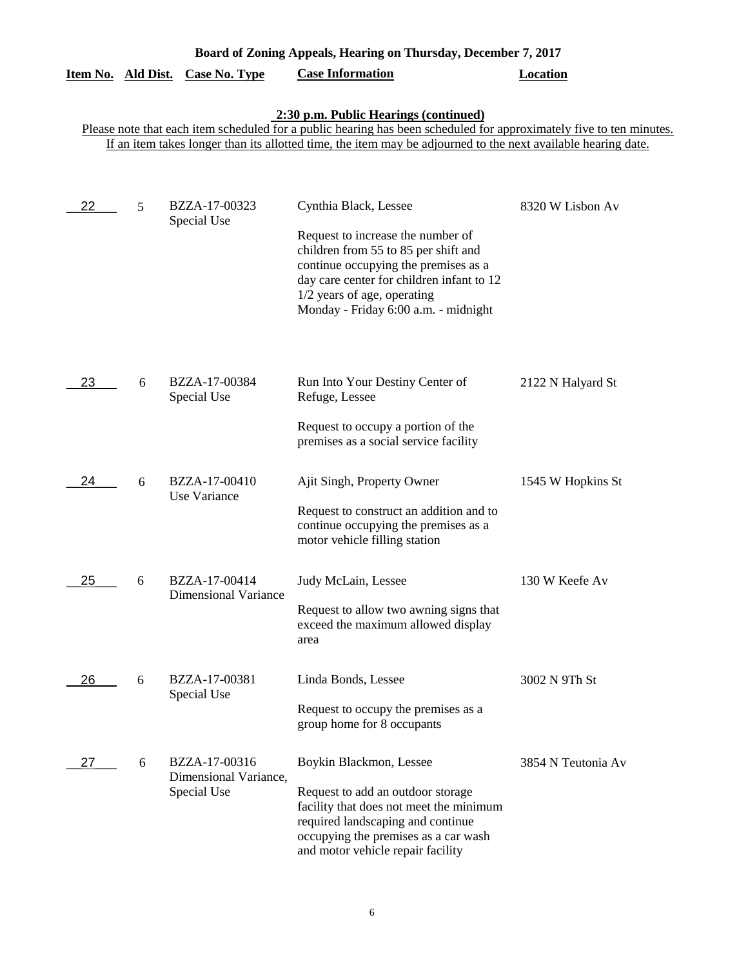|    |   | <u>Item No. Ald Dist. Case No. Type</u>                                                                          | <b>Case Information</b>                                                                                                                                                                          | <b>Location</b>    |
|----|---|------------------------------------------------------------------------------------------------------------------|--------------------------------------------------------------------------------------------------------------------------------------------------------------------------------------------------|--------------------|
|    |   |                                                                                                                  | 2:30 p.m. Public Hearings (continued)<br>Please note that each item scheduled for a public hearing has been scheduled for approximately five to ten minutes.                                     |                    |
|    |   |                                                                                                                  | If an item takes longer than its allotted time, the item may be adjourned to the next available hearing date.                                                                                    |                    |
|    |   |                                                                                                                  |                                                                                                                                                                                                  |                    |
| 22 | 5 | BZZA-17-00323<br>Special Use                                                                                     | Cynthia Black, Lessee<br>Request to increase the number of                                                                                                                                       | 8320 W Lisbon Av   |
|    |   |                                                                                                                  | children from 55 to 85 per shift and<br>continue occupying the premises as a<br>day care center for children infant to 12<br>1/2 years of age, operating<br>Monday - Friday 6:00 a.m. - midnight |                    |
| 23 | 6 | BZZA-17-00384<br>Special Use                                                                                     | Run Into Your Destiny Center of<br>Refuge, Lessee                                                                                                                                                | 2122 N Halyard St  |
|    |   | Request to occupy a portion of the<br>premises as a social service facility                                      |                                                                                                                                                                                                  |                    |
| 24 | 6 | BZZA-17-00410<br>Use Variance                                                                                    | Ajit Singh, Property Owner                                                                                                                                                                       | 1545 W Hopkins St  |
|    |   | Request to construct an addition and to<br>continue occupying the premises as a<br>motor vehicle filling station |                                                                                                                                                                                                  |                    |
| 25 | 6 | BZZA-17-00414<br><b>Dimensional Variance</b>                                                                     | Judy McLain, Lessee                                                                                                                                                                              | 130 W Keefe Av     |
|    |   |                                                                                                                  | Request to allow two awning signs that<br>exceed the maximum allowed display<br>area                                                                                                             |                    |
| 26 | 6 | BZZA-17-00381<br>Special Use                                                                                     | Linda Bonds, Lessee                                                                                                                                                                              | 3002 N 9Th St      |
|    |   |                                                                                                                  | Request to occupy the premises as a<br>group home for 8 occupants                                                                                                                                |                    |
| 27 | 6 | BZZA-17-00316<br>Dimensional Variance,                                                                           | Boykin Blackmon, Lessee                                                                                                                                                                          | 3854 N Teutonia Av |
|    |   | Special Use                                                                                                      | Request to add an outdoor storage<br>facility that does not meet the minimum<br>required landscaping and continue<br>occupying the premises as a car wash<br>and motor vehicle repair facility   |                    |

**Board of Zoning Appeals, Hearing on Thursday, December 7, 2017**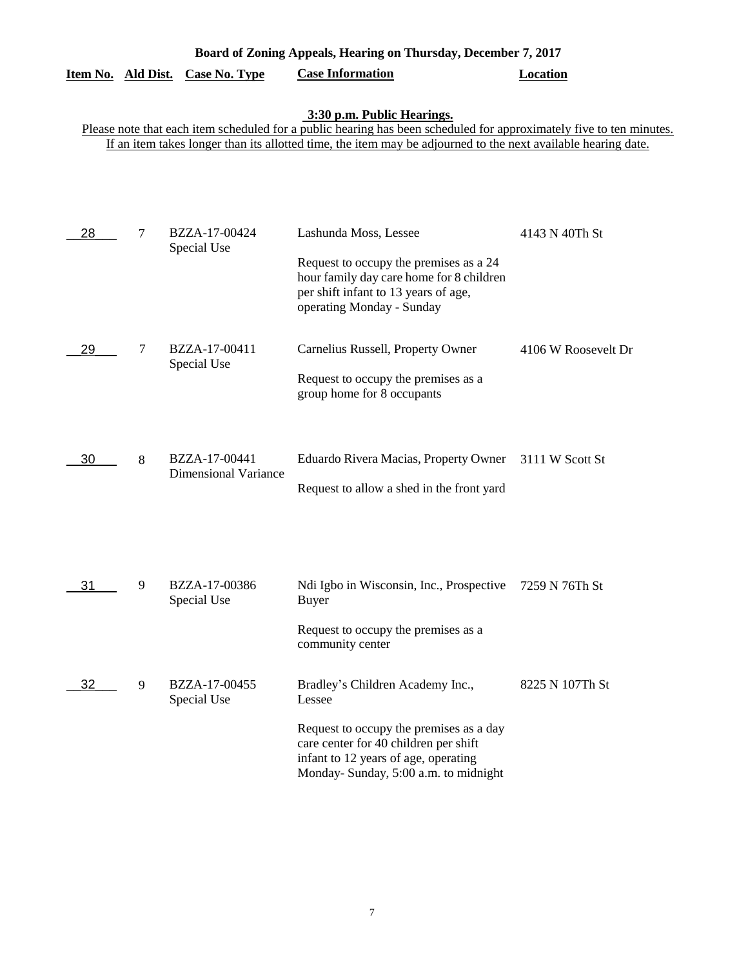# **Item No. Ald Dist. Case No. Type Case Information Location**

#### **3:30 p.m. Public Hearings.**

Please note that each item scheduled for a public hearing has been scheduled for approximately five to ten minutes. If an item takes longer than its allotted time, the item may be adjourned to the next available hearing date.

| 28 | 7 | BZZA-17-00424<br>Special Use                 | Lashunda Moss, Lessee<br>Request to occupy the premises as a 24<br>hour family day care home for 8 children<br>per shift infant to 13 years of age,<br>operating Monday - Sunday                                | 4143 N 40Th St      |
|----|---|----------------------------------------------|-----------------------------------------------------------------------------------------------------------------------------------------------------------------------------------------------------------------|---------------------|
| 29 | 7 | BZZA-17-00411<br>Special Use                 | Carnelius Russell, Property Owner<br>Request to occupy the premises as a<br>group home for 8 occupants                                                                                                          | 4106 W Roosevelt Dr |
| 30 | 8 | BZZA-17-00441<br><b>Dimensional Variance</b> | Eduardo Rivera Macias, Property Owner<br>Request to allow a shed in the front yard                                                                                                                              | 3111 W Scott St     |
| 31 | 9 | BZZA-17-00386<br>Special Use                 | Ndi Igbo in Wisconsin, Inc., Prospective<br><b>Buyer</b><br>Request to occupy the premises as a<br>community center                                                                                             | 7259 N 76Th St      |
| 32 | 9 | BZZA-17-00455<br>Special Use                 | Bradley's Children Academy Inc.,<br>Lessee<br>Request to occupy the premises as a day<br>care center for 40 children per shift<br>infant to 12 years of age, operating<br>Monday- Sunday, 5:00 a.m. to midnight | 8225 N 107Th St     |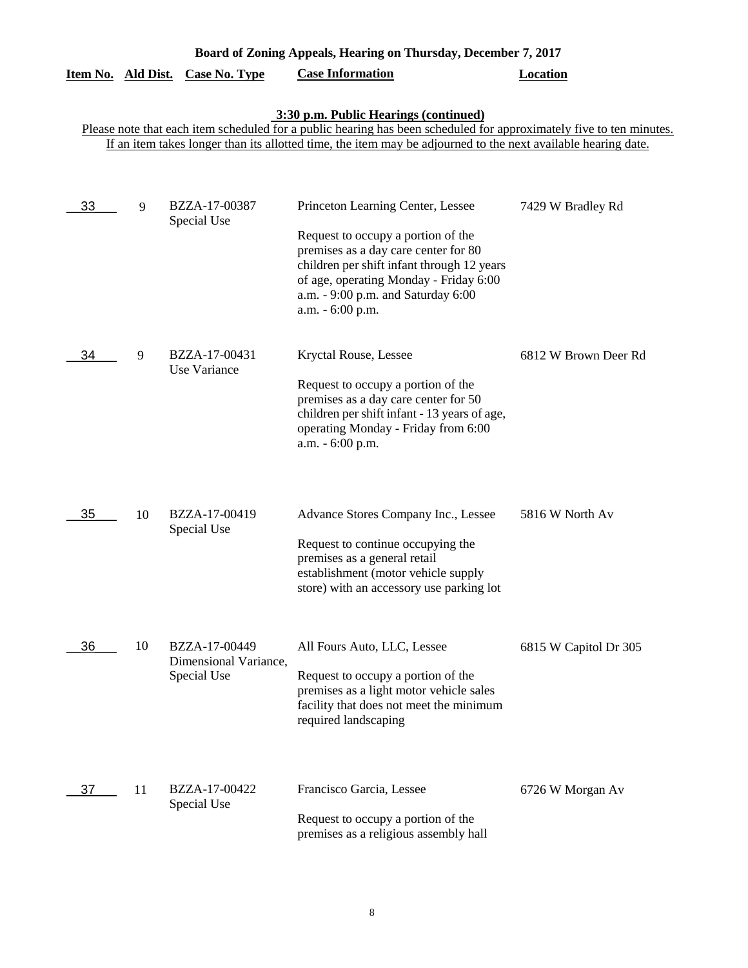| Board of Zoning Appeals, Hearing on Thursday, December 7, 2017 |    |                                                       |                                                                                                                                                                                                                                                                               |                       |
|----------------------------------------------------------------|----|-------------------------------------------------------|-------------------------------------------------------------------------------------------------------------------------------------------------------------------------------------------------------------------------------------------------------------------------------|-----------------------|
| Item No. Ald Dist.                                             |    | <b>Case No. Type</b>                                  | <b>Case Information</b>                                                                                                                                                                                                                                                       | <b>Location</b>       |
|                                                                |    |                                                       | 3:30 p.m. Public Hearings (continued)<br>Please note that each item scheduled for a public hearing has been scheduled for approximately five to ten minutes.<br>If an item takes longer than its allotted time, the item may be adjourned to the next available hearing date. |                       |
| 33                                                             | 9  | BZZA-17-00387<br>Special Use                          | Princeton Learning Center, Lessee<br>Request to occupy a portion of the<br>premises as a day care center for 80<br>children per shift infant through 12 years<br>of age, operating Monday - Friday 6:00<br>a.m. - 9:00 p.m. and Saturday 6:00<br>a.m. - 6:00 p.m.             | 7429 W Bradley Rd     |
| 34                                                             | 9  | BZZA-17-00431<br>Use Variance                         | Kryctal Rouse, Lessee<br>Request to occupy a portion of the<br>premises as a day care center for 50<br>children per shift infant - 13 years of age,<br>operating Monday - Friday from 6:00<br>a.m. - 6:00 p.m.                                                                | 6812 W Brown Deer Rd  |
| 35                                                             | 10 | BZZA-17-00419<br>Special Use                          | Advance Stores Company Inc., Lessee<br>Request to continue occupying the<br>premises as a general retail<br>establishment (motor vehicle supply<br>store) with an accessory use parking lot                                                                                   | 5816 W North Av       |
| 36                                                             | 10 | BZZA-17-00449<br>Dimensional Variance,<br>Special Use | All Fours Auto, LLC, Lessee<br>Request to occupy a portion of the<br>premises as a light motor vehicle sales<br>facility that does not meet the minimum<br>required landscaping                                                                                               | 6815 W Capitol Dr 305 |
| 37                                                             | 11 | BZZA-17-00422<br>Special Use                          | Francisco Garcia, Lessee<br>Request to occupy a portion of the<br>premises as a religious assembly hall                                                                                                                                                                       | 6726 W Morgan Av      |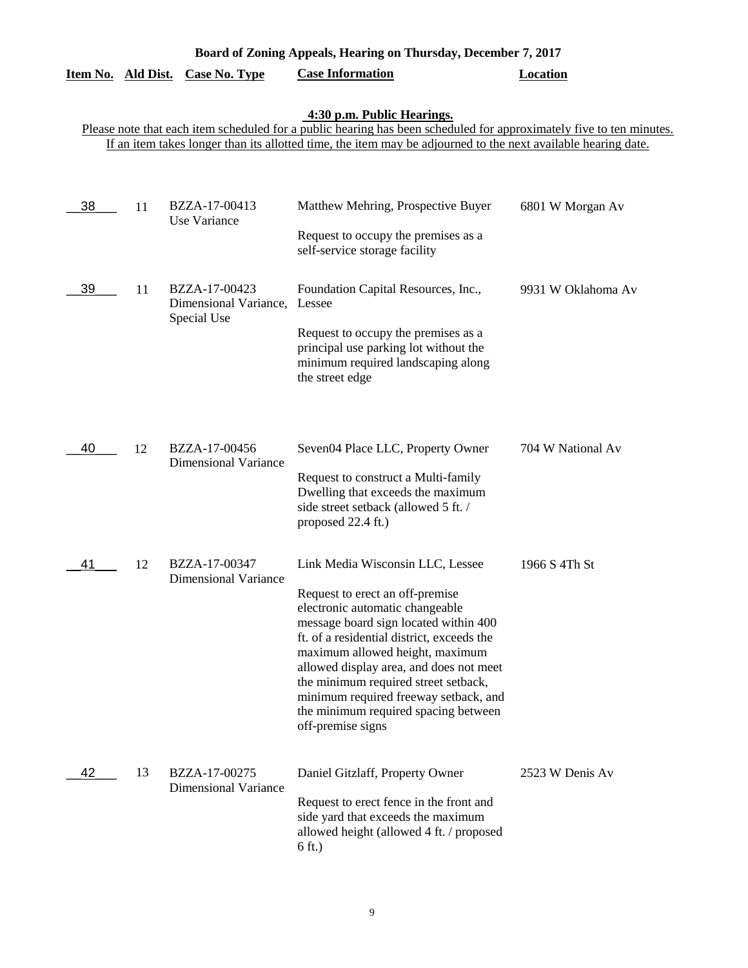| Board of Zoning Appeals, Hearing on Thursday, December 7, 2017 |    |                                                       |                                                                                                                                                                                                                                                                                                                                                                                                                           |                    |
|----------------------------------------------------------------|----|-------------------------------------------------------|---------------------------------------------------------------------------------------------------------------------------------------------------------------------------------------------------------------------------------------------------------------------------------------------------------------------------------------------------------------------------------------------------------------------------|--------------------|
| Item No. Ald Dist.                                             |    | <b>Case No. Type</b>                                  | <b>Case Information</b>                                                                                                                                                                                                                                                                                                                                                                                                   | <b>Location</b>    |
|                                                                |    |                                                       | 4:30 p.m. Public Hearings.<br>Please note that each item scheduled for a public hearing has been scheduled for approximately five to ten minutes.<br>If an item takes longer than its allotted time, the item may be adjourned to the next available hearing date.                                                                                                                                                        |                    |
| 38                                                             | 11 | BZZA-17-00413<br>Use Variance                         | Matthew Mehring, Prospective Buyer<br>Request to occupy the premises as a<br>self-service storage facility                                                                                                                                                                                                                                                                                                                | 6801 W Morgan Av   |
| 39                                                             | 11 | BZZA-17-00423<br>Dimensional Variance,<br>Special Use | Foundation Capital Resources, Inc.,<br>Lessee<br>Request to occupy the premises as a<br>principal use parking lot without the<br>minimum required landscaping along<br>the street edge                                                                                                                                                                                                                                    | 9931 W Oklahoma Av |
| 40                                                             | 12 | BZZA-17-00456<br><b>Dimensional Variance</b>          | Seven04 Place LLC, Property Owner<br>Request to construct a Multi-family<br>Dwelling that exceeds the maximum<br>side street setback (allowed 5 ft. /<br>proposed 22.4 ft.)                                                                                                                                                                                                                                               | 704 W National Av  |
| 41                                                             | 12 | BZZA-17-00347<br><b>Dimensional Variance</b>          | Link Media Wisconsin LLC, Lessee<br>Request to erect an off-premise<br>electronic automatic changeable<br>message board sign located within 400<br>ft. of a residential district, exceeds the<br>maximum allowed height, maximum<br>allowed display area, and does not meet<br>the minimum required street setback,<br>minimum required freeway setback, and<br>the minimum required spacing between<br>off-premise signs | 1966 S 4Th St      |
| 42                                                             | 13 | BZZA-17-00275<br><b>Dimensional Variance</b>          | Daniel Gitzlaff, Property Owner<br>Request to erect fence in the front and<br>side yard that exceeds the maximum<br>allowed height (allowed 4 ft. / proposed<br>$6$ ft.)                                                                                                                                                                                                                                                  | 2523 W Denis Av    |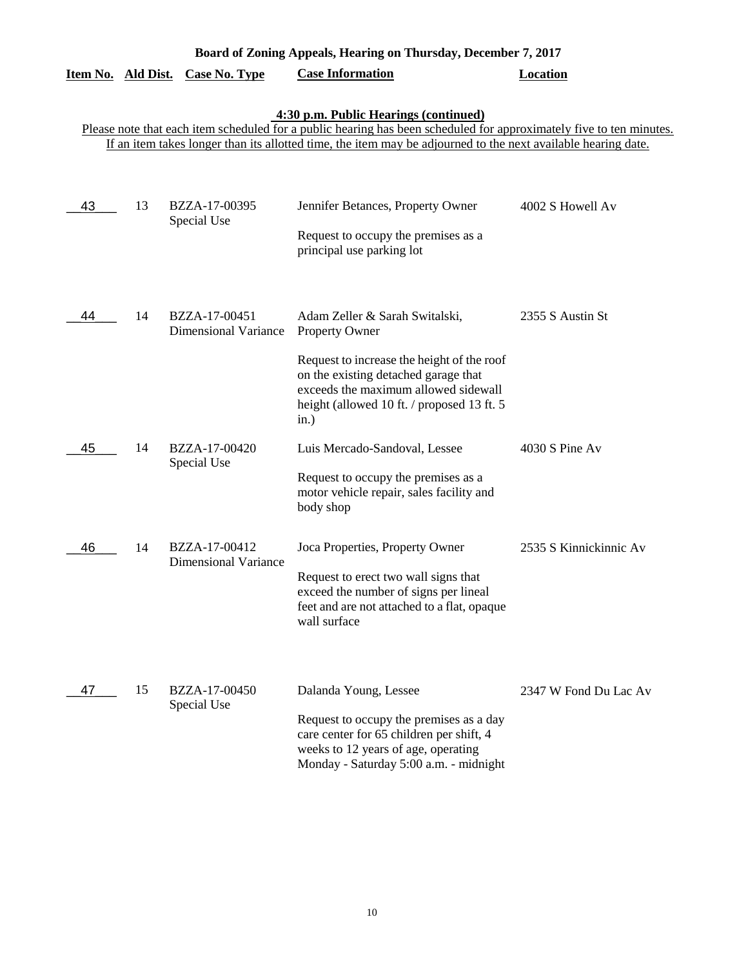| Board of Zoning Appeals, Hearing on Thursday, December 7, 2017 |    |                                              |                                                                                                                                                                                                                                                                               |                        |  |  |  |
|----------------------------------------------------------------|----|----------------------------------------------|-------------------------------------------------------------------------------------------------------------------------------------------------------------------------------------------------------------------------------------------------------------------------------|------------------------|--|--|--|
| Item No. Ald Dist.                                             |    | <b>Case No. Type</b>                         | <b>Case Information</b>                                                                                                                                                                                                                                                       | <b>Location</b>        |  |  |  |
|                                                                |    |                                              | 4:30 p.m. Public Hearings (continued)<br>Please note that each item scheduled for a public hearing has been scheduled for approximately five to ten minutes.<br>If an item takes longer than its allotted time, the item may be adjourned to the next available hearing date. |                        |  |  |  |
| 43                                                             | 13 | BZZA-17-00395<br>Special Use                 | Jennifer Betances, Property Owner<br>Request to occupy the premises as a<br>principal use parking lot                                                                                                                                                                         | 4002 S Howell Av       |  |  |  |
| 44                                                             | 14 | BZZA-17-00451<br><b>Dimensional Variance</b> | Adam Zeller & Sarah Switalski,<br><b>Property Owner</b><br>Request to increase the height of the roof<br>on the existing detached garage that<br>exceeds the maximum allowed sidewall<br>height (allowed 10 ft. / proposed 13 ft. 5<br>in.)                                   | 2355 S Austin St       |  |  |  |
| 45                                                             | 14 | BZZA-17-00420<br>Special Use                 | Luis Mercado-Sandoval, Lessee<br>Request to occupy the premises as a<br>motor vehicle repair, sales facility and<br>body shop                                                                                                                                                 | 4030 S Pine Av         |  |  |  |
| 46                                                             | 14 | BZZA-17-00412<br><b>Dimensional Variance</b> | Joca Properties, Property Owner<br>Request to erect two wall signs that<br>exceed the number of signs per lineal<br>feet and are not attached to a flat, opaque<br>wall surface                                                                                               | 2535 S Kinnickinnic Av |  |  |  |
| 47                                                             | 15 | BZZA-17-00450<br>Special Use                 | Dalanda Young, Lessee<br>Request to occupy the premises as a day<br>care center for 65 children per shift, 4<br>weeks to 12 years of age, operating<br>Monday - Saturday 5:00 a.m. - midnight                                                                                 | 2347 W Fond Du Lac Av  |  |  |  |